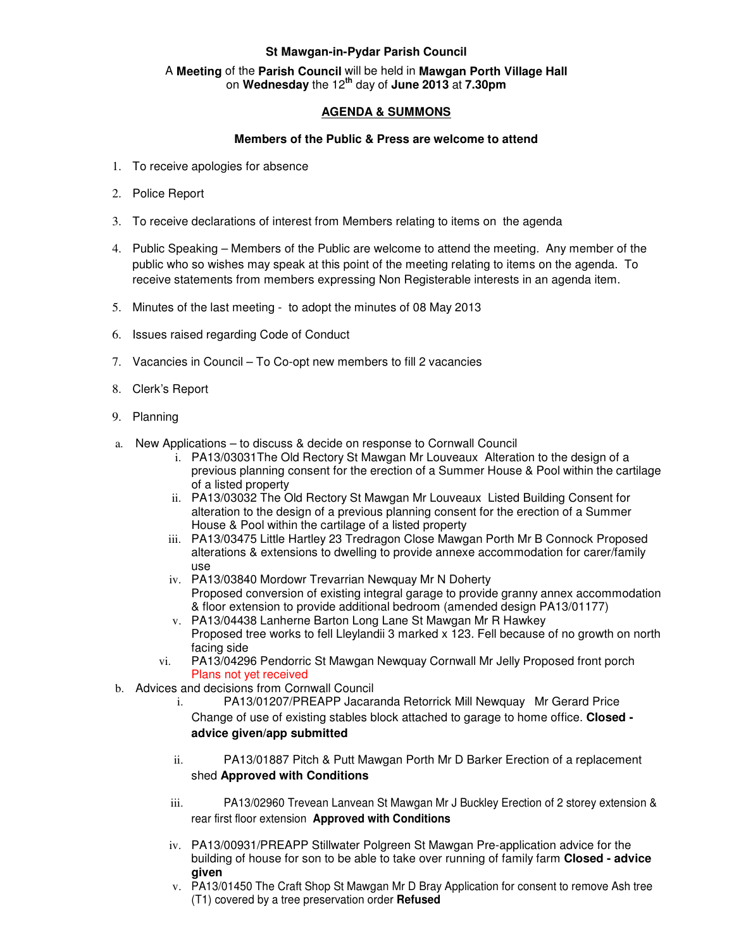## **St Mawgan-in-Pydar Parish Council**

## A **Meeting** of the **Parish Council** will be held in **Mawgan Porth Village Hall** on **Wednesday** the 12**th** day of **June 2013** at **7.30pm**

## **AGENDA & SUMMONS**

## **Members of the Public & Press are welcome to attend**

- 1. To receive apologies for absence
- 2. Police Report
- 3. To receive declarations of interest from Members relating to items on the agenda
- 4. Public Speaking Members of the Public are welcome to attend the meeting. Any member of the public who so wishes may speak at this point of the meeting relating to items on the agenda. To receive statements from members expressing Non Registerable interests in an agenda item.
- 5. Minutes of the last meeting to adopt the minutes of 08 May 2013
- 6. Issues raised regarding Code of Conduct
- 7. Vacancies in Council To Co-opt new members to fill 2 vacancies
- 8. Clerk's Report
- 9. Planning
- a. New Applications to discuss & decide on response to Cornwall Council
	- i. PA13/03031The Old Rectory St Mawgan Mr Louveaux Alteration to the design of a previous planning consent for the erection of a Summer House & Pool within the cartilage of a listed property
	- ii. PA13/03032 The Old Rectory St Mawgan Mr Louveaux Listed Building Consent for alteration to the design of a previous planning consent for the erection of a Summer House & Pool within the cartilage of a listed property
	- iii. PA13/03475 Little Hartley 23 Tredragon Close Mawgan Porth Mr B Connock Proposed alterations & extensions to dwelling to provide annexe accommodation for carer/family use
	- iv. PA13/03840 Mordowr Trevarrian Newquay Mr N Doherty Proposed conversion of existing integral garage to provide granny annex accommodation & floor extension to provide additional bedroom (amended design PA13/01177)
	- v. PA13/04438 Lanherne Barton Long Lane St Mawgan Mr R Hawkey Proposed tree works to fell Lleylandii 3 marked x 123. Fell because of no growth on north facing side
	- vi. PA13/04296 Pendorric St Mawgan Newquay Cornwall Mr Jelly Proposed front porch Plans not yet received
- b. Advices and decisions from Cornwall Council
	- i. PA13/01207/PREAPP Jacaranda Retorrick Mill Newquay Mr Gerard Price Change of use of existing stables block attached to garage to home office. **Closed advice given/app submitted**
	- ii. PA13/01887 Pitch & Putt Mawgan Porth Mr D Barker Erection of a replacement shed **Approved with Conditions**
	- iii. PA13/02960 Trevean Lanvean St Mawgan Mr J Buckley Erection of 2 storey extension & rear first floor extension **Approved with Conditions**
	- iv. PA13/00931/PREAPP Stillwater Polgreen St Mawgan Pre-application advice for the building of house for son to be able to take over running of family farm **Closed - advice given**
	- v. PA13/01450 The Craft Shop St Mawgan Mr D Bray Application for consent to remove Ash tree (T1) covered by a tree preservation order **Refused**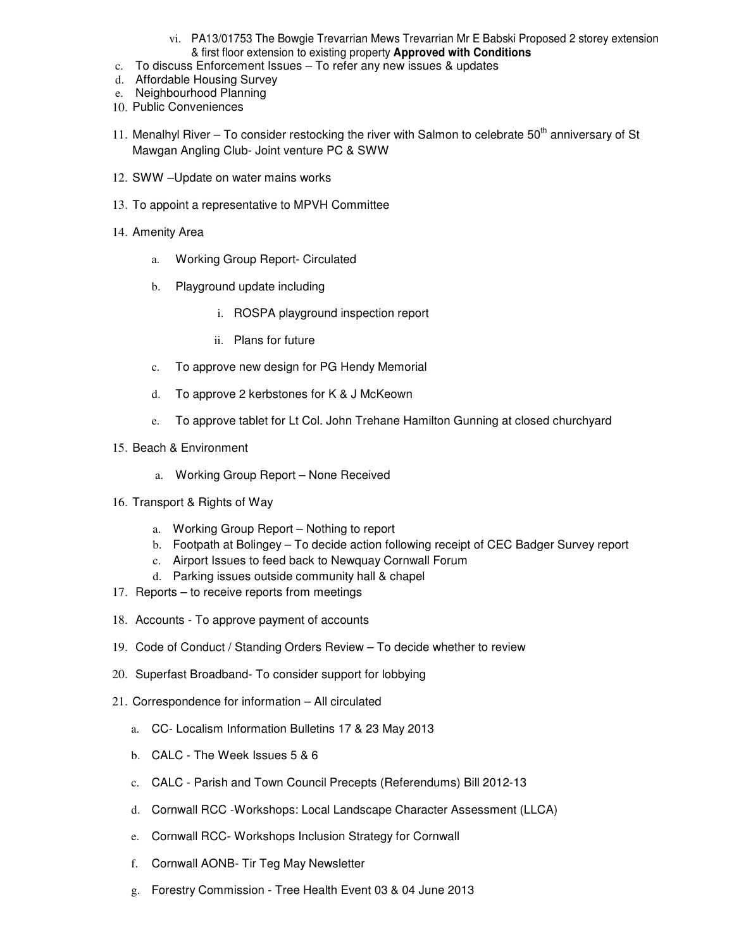- vi. PA13/01753 The Bowgie Trevarrian Mews Trevarrian Mr E Babski Proposed 2 storey extension & first floor extension to existing property **Approved with Conditions**
- c. To discuss Enforcement Issues To refer any new issues & updates
- d. Affordable Housing Survey
- e. Neighbourhood Planning
- 10. Public Conveniences
- 11. Menalhyl River To consider restocking the river with Salmon to celebrate  $50<sup>th</sup>$  anniversary of St Mawgan Angling Club- Joint venture PC & SWW
- 12. SWW –Update on water mains works
- 13. To appoint a representative to MPVH Committee
- 14. Amenity Area
	- a. Working Group Report- Circulated
	- b. Playground update including
		- i. ROSPA playground inspection report
		- ii. Plans for future
	- c. To approve new design for PG Hendy Memorial
	- d. To approve 2 kerbstones for K & J McKeown
	- e. To approve tablet for Lt Col. John Trehane Hamilton Gunning at closed churchyard
- 15. Beach & Environment
	- a. Working Group Report None Received
- 16. Transport & Rights of Way
	- a. Working Group Report Nothing to report
	- b. Footpath at Bolingey To decide action following receipt of CEC Badger Survey report
	- c. Airport Issues to feed back to Newquay Cornwall Forum
	- d. Parking issues outside community hall & chapel
- 17. Reports to receive reports from meetings
- 18. Accounts To approve payment of accounts
- 19. Code of Conduct / Standing Orders Review To decide whether to review
- 20. Superfast Broadband- To consider support for lobbying
- 21. Correspondence for information All circulated
	- a. CC- Localism Information Bulletins 17 & 23 May 2013
	- b. CALC The Week Issues 5 & 6
	- c. CALC Parish and Town Council Precepts (Referendums) Bill 2012-13
	- d. Cornwall RCC -Workshops: Local Landscape Character Assessment (LLCA)
	- e. Cornwall RCC- Workshops Inclusion Strategy for Cornwall
	- f. Cornwall AONB- Tir Teg May Newsletter
	- g. Forestry Commission Tree Health Event 03 & 04 June 2013